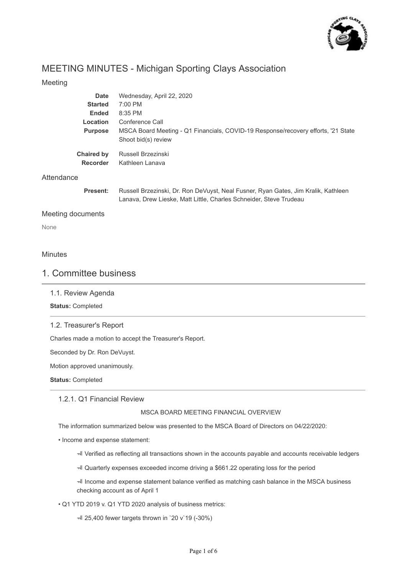

# MEETING MINUTES - Michigan Sporting Clays Association

## Meeting

| <b>Date</b>                          | Wednesday, April 22, 2020                                                                                |
|--------------------------------------|----------------------------------------------------------------------------------------------------------|
| <b>Started</b>                       | $7:00$ PM                                                                                                |
| <b>Ended</b>                         | $8:35$ PM                                                                                                |
| Location                             | Conference Call                                                                                          |
| <b>Purpose</b>                       | MSCA Board Meeting - Q1 Financials, COVID-19 Response/recovery efforts, '21 State<br>Shoot bid(s) review |
| <b>Chaired by</b><br><b>Recorder</b> | Russell Brzezinski<br>Kathleen Lanava                                                                    |

## Attendance

**Present:** Russell Brzezinski, Dr. Ron DeVuyst, Neal Fusner, Ryan Gates, Jim Kralik, Kathleen Lanava, Drew Lieske, Matt Little, Charles Schneider, Steve Trudeau

## Meeting documents

None

## **Minutes**

## 1. Committee business

1.1. Review Agenda

**Status:** Completed

## 1.2. Treasurer's Report

Charles made a motion to accept the Treasurer's Report.

Seconded by Dr. Ron DeVuyst.

Motion approved unanimously.

**Status:** Completed

## 1.2.1. Q1 Financial Review

## MSCA BOARD MEETING FINANCIAL OVERVIEW

The information summarized below was presented to the MSCA Board of Directors on 04/22/2020:

• Income and expense statement:

Verified as reflecting all transactions shown in the accounts payable and accounts receivable ledgers

Quarterly expenses exceeded income driving a \$661.22 operating loss for the period

 Income and expense statement balance verified as matching cash balance in the MSCA business checking account as of April 1

## • Q1 YTD 2019 v. Q1 YTD 2020 analysis of business metrics:

 $-$  4 25,400 fewer targets thrown in `20 v`19 (-30%)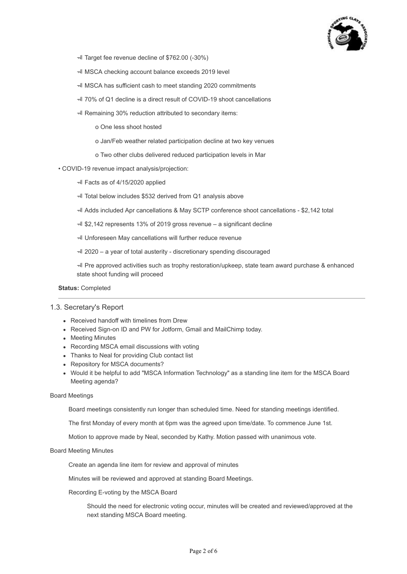

- Target fee revenue decline of \$762.00 (-30%)
- MSCA checking account balance exceeds 2019 level
- MSCA has sufficient cash to meet standing 2020 commitments
- 70% of Q1 decline is a direct result of COVID-19 shoot cancellations
- Remaining 30% reduction attributed to secondary items:
	- o One less shoot hosted
	- o Jan/Feb weather related participation decline at two key venues
	- o Two other clubs delivered reduced participation levels in Mar
- COVID-19 revenue impact analysis/projection:
	- Facts as of 4/15/2020 applied
	- Total below includes \$532 derived from Q1 analysis above
	- Adds included Apr cancellations & May SCTP conference shoot cancellations \$2,142 total
	- $\overline{4}$  \$2,142 represents 13% of 2019 gross revenue a significant decline
	- Unforeseen May cancellations will further reduce revenue
	- 2020 a year of total austerity discretionary spending discouraged

 Pre approved activities such as trophy restoration/upkeep, state team award purchase & enhanced state shoot funding will proceed

#### **Status:** Completed

## 1.3. Secretary's Report

- Received handoff with timelines from Drew
- Received Sign-on ID and PW for Jotform, Gmail and MailChimp today.
- Meeting Minutes
- Recording MSCA email discussions with voting
- Thanks to Neal for providing Club contact list
- Repository for MSCA documents?
- Would it be helpful to add "MSCA Information Technology" as a standing line item for the MSCA Board Meeting agenda?

#### Board Meetings

Board meetings consistently run longer than scheduled time. Need for standing meetings identified.

The first Monday of every month at 6pm was the agreed upon time/date. To commence June 1st.

Motion to approve made by Neal, seconded by Kathy. Motion passed with unanimous vote.

## Board Meeting Minutes

Create an agenda line item for review and approval of minutes

Minutes will be reviewed and approved at standing Board Meetings.

### Recording E-voting by the MSCA Board

Should the need for electronic voting occur, minutes will be created and reviewed/approved at the next standing MSCA Board meeting.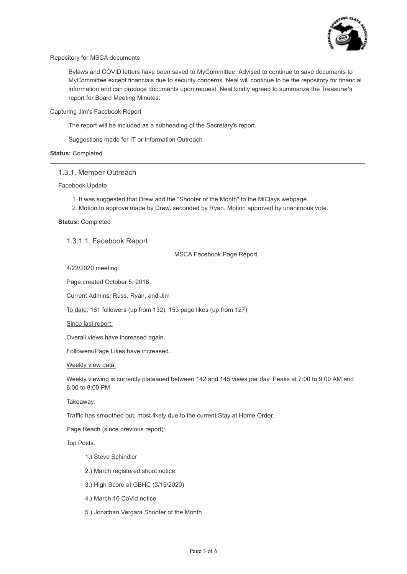

Repository for MSCA documents

Bylaws and COVID letters have been saved to MyCommittee. Advised to continue to save documents to MyCommittee except financials due to security concerns. Neal will continue to be the repository for financial information and can produce documents upon request. Neal kindly agreed to summarize the Treasurer's report for Board Meeting Minutes.

Capturing Jim's Facebook Report

The report will be included as a subheading of the Secretary's report.

Suggestions made for IT or Information Outreach

#### **Status:** Completed

## 1.3.1. Member Outreach

Facebook Update

- 1. It was suggested that Drew add the "Shooter of the Month" to the MiClays webpage.
- 2. Motion to approve made by Drew, seconded by Ryan. Motion approved by unanimous vote.

**Status:** Completed

## 1.3.1.1. Facebook Report

MSCA Facebook Page Report

4/22/2020 meeting

Page created October 5, 2018

Current Admins: Russ, Ryan, and Jim

To date: 161 followers (up from 132), 153 page likes (up from 127)

#### Since last report:

Overall views have increased again.

Followers/Page Likes have increased.

#### Weekly view data:

Weekly viewing is currently plateaued between 142 and 145 views per day. Peaks at 7:00 to 9:00 AM and 6:00 to 8:00 PM

Takeaway:

Traffic has smoothed out, most likely due to the current Stay at Home Order.

Page Reach (since previous report):

## Top Posts.

- 1.) Steve Schindler
- 2.) March registered shoot notice.
- 3.) High Score at GBHC (3/15/2020)
- 4.) March 16 CoVid notice
- 5.) Jonathan Vergara Shooter of the Month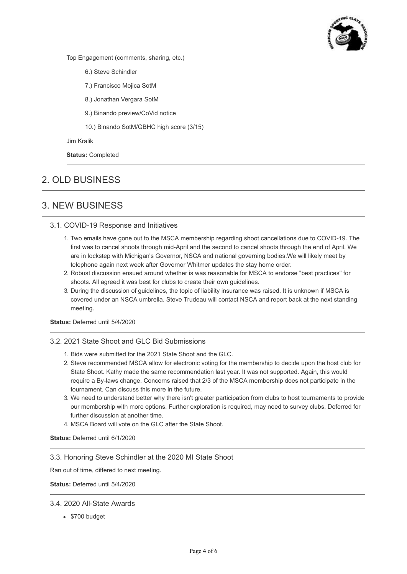

Top Engagement (comments, sharing, etc.)

- 6.) Steve Schindler
- 7.) Francisco Mojica SotM
- 8.) Jonathan Vergara SotM
- 9.) Binando preview/CoVid notice
- 10.) Binando SotM/GBHC high score (3/15)

Jim Kralik

**Status:** Completed

# 2. OLD BUSINESS

## 3. NEW BUSINESS

## 3.1. COVID-19 Response and Initiatives

- 1. Two emails have gone out to the MSCA membership regarding shoot cancellations due to COVID-19. The first was to cancel shoots through mid-April and the second to cancel shoots through the end of April. We are in lockstep with Michigan's Governor, NSCA and national governing bodies.We will likely meet by telephone again next week after Governor Whitmer updates the stay home order.
- 2. Robust discussion ensued around whether is was reasonable for MSCA to endorse "best practices" for shoots. All agreed it was best for clubs to create their own guidelines.
- 3. During the discussion of guidelines, the topic of liability insurance was raised. It is unknown if MSCA is covered under an NSCA umbrella. Steve Trudeau will contact NSCA and report back at the next standing meeting.

## **Status:** Deferred until 5/4/2020

## 3.2. 2021 State Shoot and GLC Bid Submissions

- 1. Bids were submitted for the 2021 State Shoot and the GLC.
- 2. Steve recommended MSCA allow for electronic voting for the membership to decide upon the host club for State Shoot. Kathy made the same recommendation last year. It was not supported. Again, this would require a By-laws change. Concerns raised that 2/3 of the MSCA membership does not participate in the tournament. Can discuss this more in the future.
- 3. We need to understand better why there isn't greater participation from clubs to host tournaments to provide our membership with more options. Further exploration is required, may need to survey clubs. Deferred for further discussion at another time.
- 4. MSCA Board will vote on the GLC after the State Shoot.

#### **Status:** Deferred until 6/1/2020

## 3.3. Honoring Steve Schindler at the 2020 MI State Shoot

Ran out of time, differed to next meeting.

**Status:** Deferred until 5/4/2020

## 3.4. 2020 All-State Awards

• \$700 budget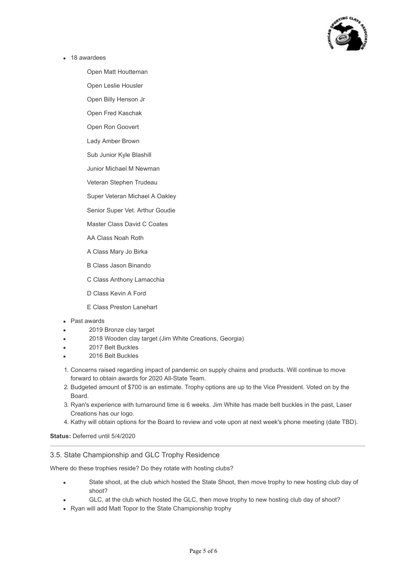

• 18 awardees

Open Matt Houtteman

Open Leslie Housler

Open Billy Henson Jr

Open Fred Kaschak

Open Ron Goovert

Lady Amber Brown

Sub Junior Kyle Blashill

Junior Michael M Newman

Veteran Stephen Trudeau

Super Veteran Michael A Oakley

Senior Super Vet. Arthur Goudie

Master Class David C Coates

AA Class Noah Roth

A Class Mary Jo Birka

B Class Jason Binando

C Class Anthony Lamacchia

D Class Kevin A Ford

E Class Preston Lanehart

#### Past awards

- 2019 Bronze clay target
- 2018 Wooden clay target (Jim White Creations, Georgia)
- 2017 Belt Buckles
- 2016 Belt Buckles
- 1. Concerns raised regarding impact of pandemic on supply chains and products. Will continue to move forward to obtain awards for 2020 All-State Team.
- 2. Budgeted amount of \$700 is an estimate. Trophy options are up to the Vice President. Voted on by the Board.
- 3. Ryan's experience with turnaround time is 6 weeks. Jim White has made belt buckles in the past, Laser Creations has our logo.
- 4. Kathy will obtain options for the Board to review and vote upon at next week's phone meeting (date TBD).

#### **Status:** Deferred until 5/4/2020

## 3.5. State Championship and GLC Trophy Residence

Where do these trophies reside? Do they rotate with hosting clubs?

- State shoot, at the club which hosted the State Shoot, then move trophy to new hosting club day of shoot?
- GLC, at the club which hosted the GLC, then move trophy to new hosting club day of shoot?
- Ryan will add Matt Topor to the State Championship trophy